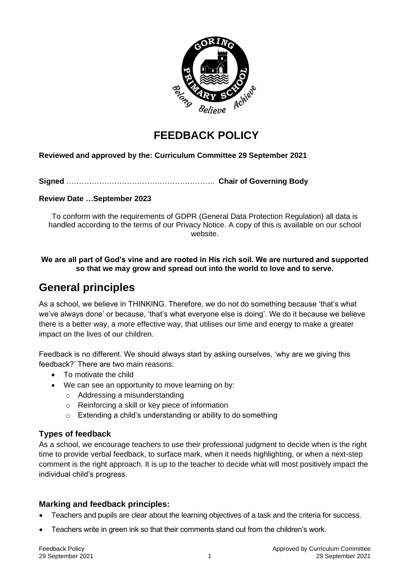

# **FEEDBACK POLICY**

#### **Reviewed and approved by the: Curriculum Committee 29 September 2021**

**Signed** ………………………………………………….. **Chair of Governing Body**

**Review Date …September 2023**

To conform with the requirements of GDPR (General Data Protection Regulation) all data is handled according to the terms of our Privacy Notice. A copy of this is available on our school website.

#### **We are all part of God's vine and are rooted in His rich soil. We are nurtured and supported so that we may grow and spread out into the world to love and to serve.**

## **General principles**

As a school, we believe in THINKING. Therefore, we do not do something because 'that's what we've always done' or because, 'that's what everyone else is doing'. We do it because we believe there is a better way, a more effective way, that utilises our time and energy to make a greater impact on the lives of our children.

Feedback is no different. We should always start by asking ourselves, 'why are we giving this feedback?' There are two main reasons:

- To motivate the child
- We can see an opportunity to move learning on by:
	- o Addressing a misunderstanding
	- o Reinforcing a skill or key piece of information
	- o Extending a child's understanding or ability to do something

#### **Types of feedback**

As a school, we encourage teachers to use their professional judgment to decide when is the right time to provide verbal feedback, to surface mark, when it needs highlighting, or when a next-step comment is the right approach. It is up to the teacher to decide what will most positively impact the individual child's progress.

#### **Marking and feedback principles:**

- Teachers and pupils are clear about the learning objectives of a task and the criteria for success.
- Teachers write in green ink so that their comments stand out from the children's work.